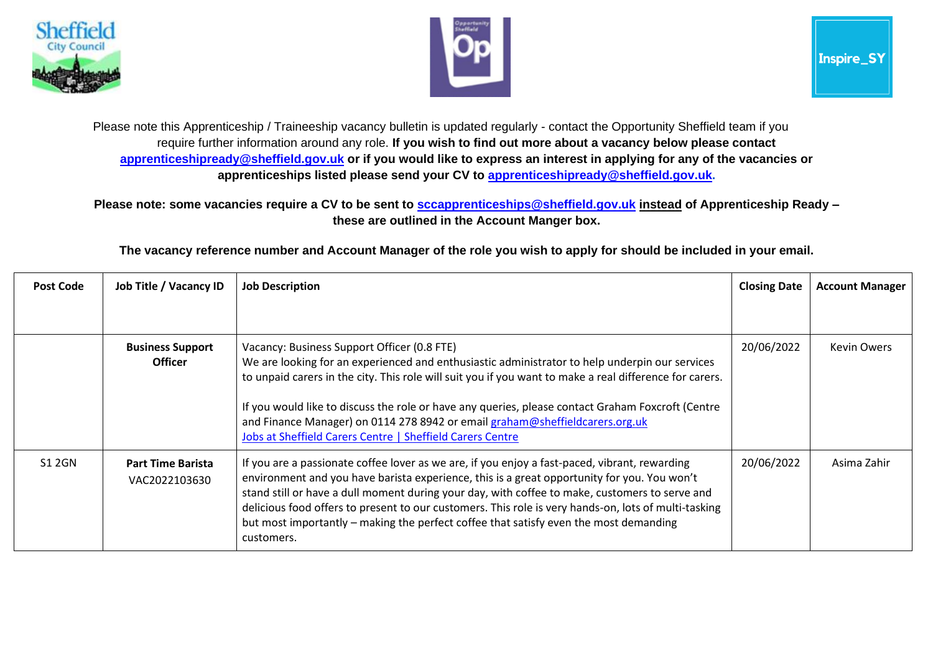



Please note this Apprenticeship / Traineeship vacancy bulletin is updated regularly - contact the Opportunity Sheffield team if you require further information around any role. **If you wish to find out more about a vacancy below please contact [apprenticeshipready@sheffield.gov.uk](mailto:apprenticeshipready@sheffield.gov.uk) or if you would like to express an interest in applying for any of the vacancies or apprenticeships listed please send your CV to [apprenticeshipready@sheffield.gov.uk.](mailto:apprenticeshipready@sheffield.gov.uk)**

**Please note: some vacancies require a CV to be sent to [sccapprenticeships@sheffield.gov.uk](mailto:sccapprenticeships@sheffield.gov.uk) instead of Apprenticeship Ready – these are outlined in the Account Manger box.**

**The vacancy reference number and Account Manager of the role you wish to apply for should be included in your email.**

| <b>Post Code</b> | Job Title / Vacancy ID                    | <b>Job Description</b>                                                                                                                                                                                                                                                                                                                                                                                                                                                                                        | <b>Closing Date</b> | <b>Account Manager</b> |
|------------------|-------------------------------------------|---------------------------------------------------------------------------------------------------------------------------------------------------------------------------------------------------------------------------------------------------------------------------------------------------------------------------------------------------------------------------------------------------------------------------------------------------------------------------------------------------------------|---------------------|------------------------|
|                  |                                           |                                                                                                                                                                                                                                                                                                                                                                                                                                                                                                               |                     |                        |
|                  | <b>Business Support</b><br><b>Officer</b> | Vacancy: Business Support Officer (0.8 FTE)<br>We are looking for an experienced and enthusiastic administrator to help underpin our services<br>to unpaid carers in the city. This role will suit you if you want to make a real difference for carers.<br>If you would like to discuss the role or have any queries, please contact Graham Foxcroft (Centre<br>and Finance Manager) on 0114 278 8942 or email graham@sheffieldcarers.org.uk<br>Jobs at Sheffield Carers Centre   Sheffield Carers Centre    | 20/06/2022          | <b>Kevin Owers</b>     |
| <b>S1 2GN</b>    | <b>Part Time Barista</b><br>VAC2022103630 | If you are a passionate coffee lover as we are, if you enjoy a fast-paced, vibrant, rewarding<br>environment and you have barista experience, this is a great opportunity for you. You won't<br>stand still or have a dull moment during your day, with coffee to make, customers to serve and<br>delicious food offers to present to our customers. This role is very hands-on, lots of multi-tasking<br>but most importantly – making the perfect coffee that satisfy even the most demanding<br>customers. | 20/06/2022          | Asima Zahir            |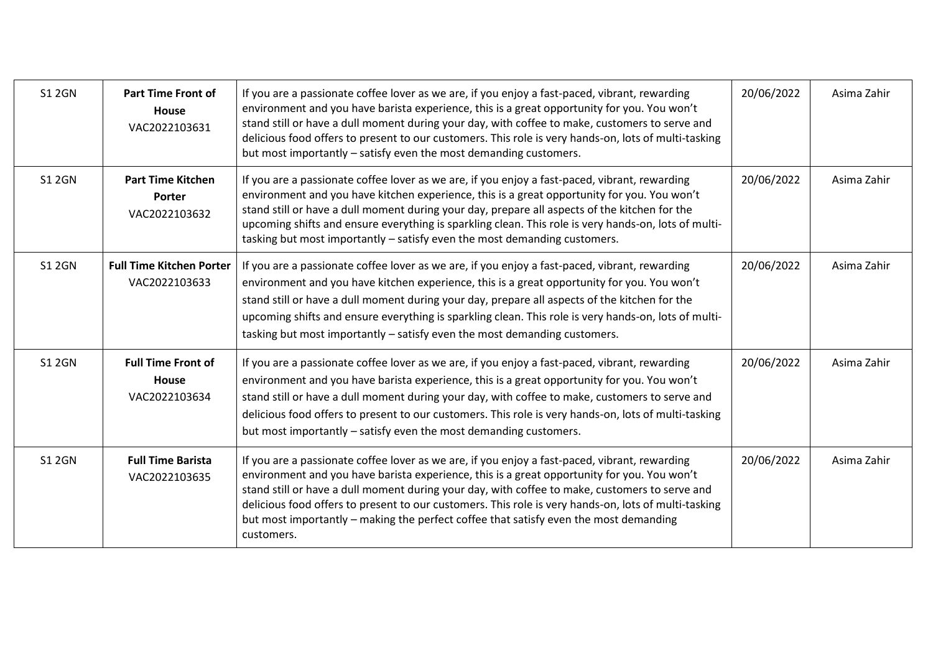| <b>S1 2GN</b> | <b>Part Time Front of</b><br>House<br>VAC2022103631        | If you are a passionate coffee lover as we are, if you enjoy a fast-paced, vibrant, rewarding<br>environment and you have barista experience, this is a great opportunity for you. You won't<br>stand still or have a dull moment during your day, with coffee to make, customers to serve and<br>delicious food offers to present to our customers. This role is very hands-on, lots of multi-tasking<br>but most importantly – satisfy even the most demanding customers.                                   | 20/06/2022 | Asima Zahir |
|---------------|------------------------------------------------------------|---------------------------------------------------------------------------------------------------------------------------------------------------------------------------------------------------------------------------------------------------------------------------------------------------------------------------------------------------------------------------------------------------------------------------------------------------------------------------------------------------------------|------------|-------------|
| <b>S1 2GN</b> | <b>Part Time Kitchen</b><br><b>Porter</b><br>VAC2022103632 | If you are a passionate coffee lover as we are, if you enjoy a fast-paced, vibrant, rewarding<br>environment and you have kitchen experience, this is a great opportunity for you. You won't<br>stand still or have a dull moment during your day, prepare all aspects of the kitchen for the<br>upcoming shifts and ensure everything is sparkling clean. This role is very hands-on, lots of multi-<br>tasking but most importantly - satisfy even the most demanding customers.                            | 20/06/2022 | Asima Zahir |
| <b>S1 2GN</b> | <b>Full Time Kitchen Porter</b><br>VAC2022103633           | If you are a passionate coffee lover as we are, if you enjoy a fast-paced, vibrant, rewarding<br>environment and you have kitchen experience, this is a great opportunity for you. You won't<br>stand still or have a dull moment during your day, prepare all aspects of the kitchen for the<br>upcoming shifts and ensure everything is sparkling clean. This role is very hands-on, lots of multi-<br>tasking but most importantly - satisfy even the most demanding customers.                            | 20/06/2022 | Asima Zahir |
| <b>S1 2GN</b> | <b>Full Time Front of</b><br><b>House</b><br>VAC2022103634 | If you are a passionate coffee lover as we are, if you enjoy a fast-paced, vibrant, rewarding<br>environment and you have barista experience, this is a great opportunity for you. You won't<br>stand still or have a dull moment during your day, with coffee to make, customers to serve and<br>delicious food offers to present to our customers. This role is very hands-on, lots of multi-tasking<br>but most importantly - satisfy even the most demanding customers.                                   | 20/06/2022 | Asima Zahir |
| <b>S1 2GN</b> | <b>Full Time Barista</b><br>VAC2022103635                  | If you are a passionate coffee lover as we are, if you enjoy a fast-paced, vibrant, rewarding<br>environment and you have barista experience, this is a great opportunity for you. You won't<br>stand still or have a dull moment during your day, with coffee to make, customers to serve and<br>delicious food offers to present to our customers. This role is very hands-on, lots of multi-tasking<br>but most importantly - making the perfect coffee that satisfy even the most demanding<br>customers. | 20/06/2022 | Asima Zahir |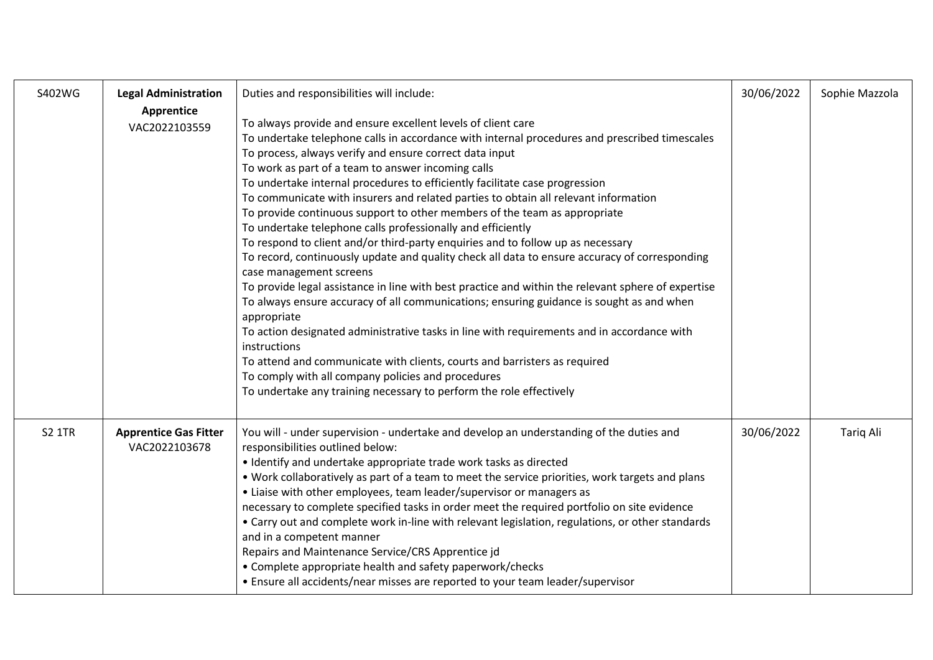| S402WG        | <b>Legal Administration</b>                   | Duties and responsibilities will include:                                                                                                                                                                                                                                                                                                                                                                                                                                                                                                                                                                                                                                                                                                                                                                                                                                                                                                                                                                                                                                                                                                                                                                                                                                                                                                                | 30/06/2022 | Sophie Mazzola   |
|---------------|-----------------------------------------------|----------------------------------------------------------------------------------------------------------------------------------------------------------------------------------------------------------------------------------------------------------------------------------------------------------------------------------------------------------------------------------------------------------------------------------------------------------------------------------------------------------------------------------------------------------------------------------------------------------------------------------------------------------------------------------------------------------------------------------------------------------------------------------------------------------------------------------------------------------------------------------------------------------------------------------------------------------------------------------------------------------------------------------------------------------------------------------------------------------------------------------------------------------------------------------------------------------------------------------------------------------------------------------------------------------------------------------------------------------|------------|------------------|
|               | Apprentice<br>VAC2022103559                   | To always provide and ensure excellent levels of client care<br>To undertake telephone calls in accordance with internal procedures and prescribed timescales<br>To process, always verify and ensure correct data input<br>To work as part of a team to answer incoming calls<br>To undertake internal procedures to efficiently facilitate case progression<br>To communicate with insurers and related parties to obtain all relevant information<br>To provide continuous support to other members of the team as appropriate<br>To undertake telephone calls professionally and efficiently<br>To respond to client and/or third-party enquiries and to follow up as necessary<br>To record, continuously update and quality check all data to ensure accuracy of corresponding<br>case management screens<br>To provide legal assistance in line with best practice and within the relevant sphere of expertise<br>To always ensure accuracy of all communications; ensuring guidance is sought as and when<br>appropriate<br>To action designated administrative tasks in line with requirements and in accordance with<br>instructions<br>To attend and communicate with clients, courts and barristers as required<br>To comply with all company policies and procedures<br>To undertake any training necessary to perform the role effectively |            |                  |
| <b>S2 1TR</b> | <b>Apprentice Gas Fitter</b><br>VAC2022103678 | You will - under supervision - undertake and develop an understanding of the duties and<br>responsibilities outlined below:<br>• Identify and undertake appropriate trade work tasks as directed<br>. Work collaboratively as part of a team to meet the service priorities, work targets and plans<br>• Liaise with other employees, team leader/supervisor or managers as<br>necessary to complete specified tasks in order meet the required portfolio on site evidence<br>• Carry out and complete work in-line with relevant legislation, regulations, or other standards<br>and in a competent manner<br>Repairs and Maintenance Service/CRS Apprentice jd<br>• Complete appropriate health and safety paperwork/checks<br>• Ensure all accidents/near misses are reported to your team leader/supervisor                                                                                                                                                                                                                                                                                                                                                                                                                                                                                                                                          | 30/06/2022 | <b>Tariq Ali</b> |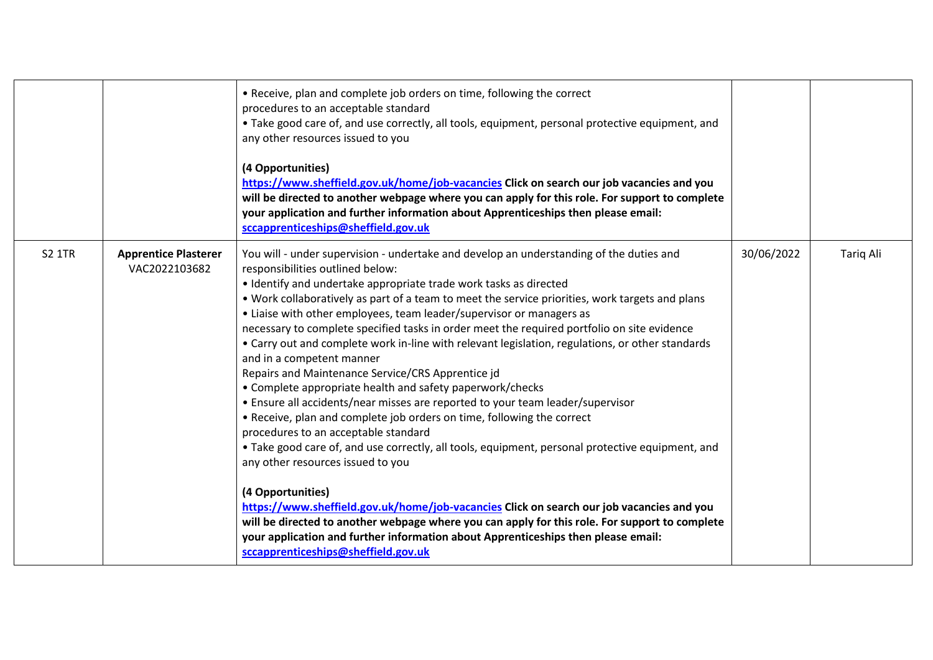|               |                                              | • Receive, plan and complete job orders on time, following the correct<br>procedures to an acceptable standard<br>. Take good care of, and use correctly, all tools, equipment, personal protective equipment, and<br>any other resources issued to you<br>(4 Opportunities)<br>https://www.sheffield.gov.uk/home/job-vacancies Click on search our job vacancies and you<br>will be directed to another webpage where you can apply for this role. For support to complete<br>your application and further information about Apprenticeships then please email:<br>sccapprenticeships@sheffield.gov.uk                                                                                                                                                                                                                                                                                                                                                                                                                                                                                                                                                                                                                                                                                                                                                                                                                    |            |           |
|---------------|----------------------------------------------|----------------------------------------------------------------------------------------------------------------------------------------------------------------------------------------------------------------------------------------------------------------------------------------------------------------------------------------------------------------------------------------------------------------------------------------------------------------------------------------------------------------------------------------------------------------------------------------------------------------------------------------------------------------------------------------------------------------------------------------------------------------------------------------------------------------------------------------------------------------------------------------------------------------------------------------------------------------------------------------------------------------------------------------------------------------------------------------------------------------------------------------------------------------------------------------------------------------------------------------------------------------------------------------------------------------------------------------------------------------------------------------------------------------------------|------------|-----------|
| <b>S2 1TR</b> | <b>Apprentice Plasterer</b><br>VAC2022103682 | You will - under supervision - undertake and develop an understanding of the duties and<br>responsibilities outlined below:<br>• Identify and undertake appropriate trade work tasks as directed<br>. Work collaboratively as part of a team to meet the service priorities, work targets and plans<br>• Liaise with other employees, team leader/supervisor or managers as<br>necessary to complete specified tasks in order meet the required portfolio on site evidence<br>• Carry out and complete work in-line with relevant legislation, regulations, or other standards<br>and in a competent manner<br>Repairs and Maintenance Service/CRS Apprentice jd<br>• Complete appropriate health and safety paperwork/checks<br>• Ensure all accidents/near misses are reported to your team leader/supervisor<br>• Receive, plan and complete job orders on time, following the correct<br>procedures to an acceptable standard<br>• Take good care of, and use correctly, all tools, equipment, personal protective equipment, and<br>any other resources issued to you<br>(4 Opportunities)<br>https://www.sheffield.gov.uk/home/job-vacancies Click on search our job vacancies and you<br>will be directed to another webpage where you can apply for this role. For support to complete<br>your application and further information about Apprenticeships then please email:<br>sccapprenticeships@sheffield.gov.uk | 30/06/2022 | Tariq Ali |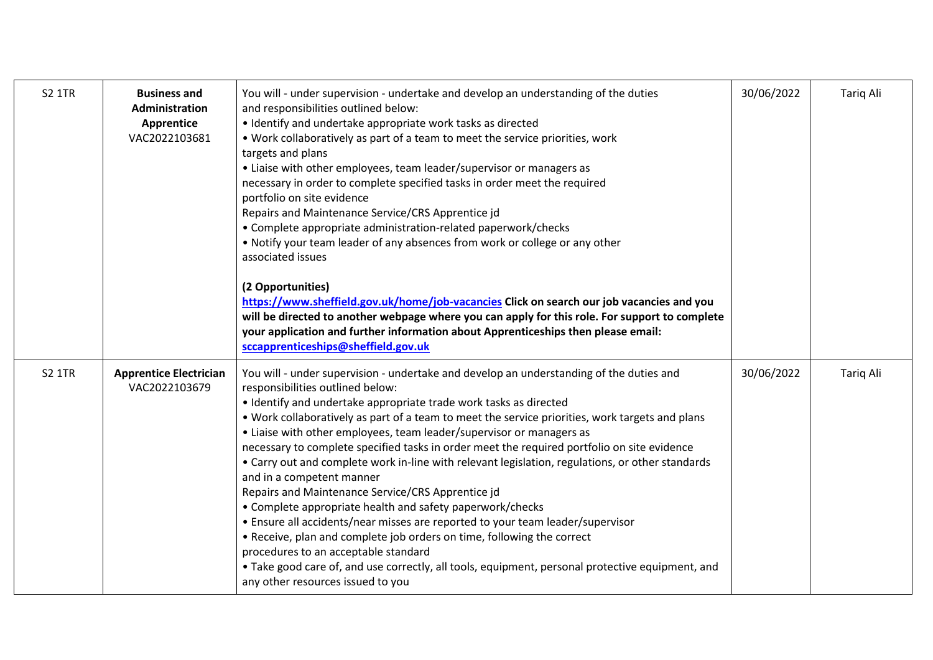| <b>S2 1TR</b> | <b>Business and</b><br>Administration<br>Apprentice<br>VAC2022103681 | You will - under supervision - undertake and develop an understanding of the duties<br>and responsibilities outlined below:<br>· Identify and undertake appropriate work tasks as directed<br>. Work collaboratively as part of a team to meet the service priorities, work<br>targets and plans<br>• Liaise with other employees, team leader/supervisor or managers as<br>necessary in order to complete specified tasks in order meet the required<br>portfolio on site evidence<br>Repairs and Maintenance Service/CRS Apprentice jd<br>• Complete appropriate administration-related paperwork/checks<br>• Notify your team leader of any absences from work or college or any other<br>associated issues<br>(2 Opportunities)<br>https://www.sheffield.gov.uk/home/job-vacancies Click on search our job vacancies and you<br>will be directed to another webpage where you can apply for this role. For support to complete<br>your application and further information about Apprenticeships then please email:<br>sccapprenticeships@sheffield.gov.uk             | 30/06/2022 | <b>Tariq Ali</b> |
|---------------|----------------------------------------------------------------------|----------------------------------------------------------------------------------------------------------------------------------------------------------------------------------------------------------------------------------------------------------------------------------------------------------------------------------------------------------------------------------------------------------------------------------------------------------------------------------------------------------------------------------------------------------------------------------------------------------------------------------------------------------------------------------------------------------------------------------------------------------------------------------------------------------------------------------------------------------------------------------------------------------------------------------------------------------------------------------------------------------------------------------------------------------------------------|------------|------------------|
| <b>S2 1TR</b> | <b>Apprentice Electrician</b><br>VAC2022103679                       | You will - under supervision - undertake and develop an understanding of the duties and<br>responsibilities outlined below:<br>• Identify and undertake appropriate trade work tasks as directed<br>. Work collaboratively as part of a team to meet the service priorities, work targets and plans<br>• Liaise with other employees, team leader/supervisor or managers as<br>necessary to complete specified tasks in order meet the required portfolio on site evidence<br>• Carry out and complete work in-line with relevant legislation, regulations, or other standards<br>and in a competent manner<br>Repairs and Maintenance Service/CRS Apprentice jd<br>• Complete appropriate health and safety paperwork/checks<br>• Ensure all accidents/near misses are reported to your team leader/supervisor<br>• Receive, plan and complete job orders on time, following the correct<br>procedures to an acceptable standard<br>• Take good care of, and use correctly, all tools, equipment, personal protective equipment, and<br>any other resources issued to you | 30/06/2022 | Tariq Ali        |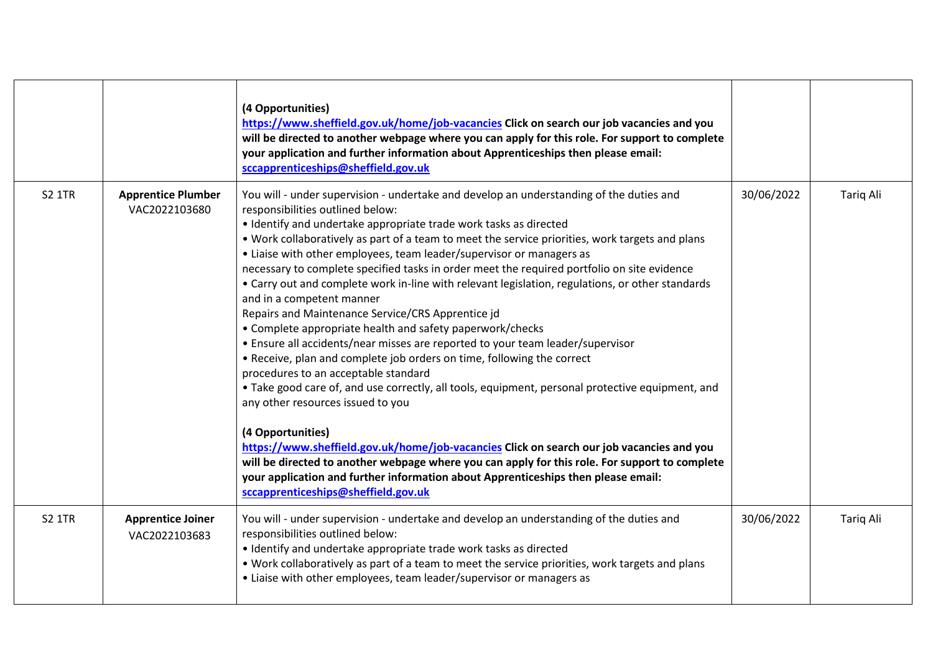|               |                                            | (4 Opportunities)<br>https://www.sheffield.gov.uk/home/job-vacancies Click on search our job vacancies and you<br>will be directed to another webpage where you can apply for this role. For support to complete<br>your application and further information about Apprenticeships then please email:<br>sccapprenticeships@sheffield.gov.uk                                                                                                                                                                                                                                                                                                                                                                                                                                                                                                                                                                                                                                                                                                                                                                                                                                                                                                                                                                                                                                                                               |            |                  |
|---------------|--------------------------------------------|----------------------------------------------------------------------------------------------------------------------------------------------------------------------------------------------------------------------------------------------------------------------------------------------------------------------------------------------------------------------------------------------------------------------------------------------------------------------------------------------------------------------------------------------------------------------------------------------------------------------------------------------------------------------------------------------------------------------------------------------------------------------------------------------------------------------------------------------------------------------------------------------------------------------------------------------------------------------------------------------------------------------------------------------------------------------------------------------------------------------------------------------------------------------------------------------------------------------------------------------------------------------------------------------------------------------------------------------------------------------------------------------------------------------------|------------|------------------|
| <b>S2 1TR</b> | <b>Apprentice Plumber</b><br>VAC2022103680 | You will - under supervision - undertake and develop an understanding of the duties and<br>responsibilities outlined below:<br>• Identify and undertake appropriate trade work tasks as directed<br>. Work collaboratively as part of a team to meet the service priorities, work targets and plans<br>• Liaise with other employees, team leader/supervisor or managers as<br>necessary to complete specified tasks in order meet the required portfolio on site evidence<br>• Carry out and complete work in-line with relevant legislation, regulations, or other standards<br>and in a competent manner<br>Repairs and Maintenance Service/CRS Apprentice jd<br>• Complete appropriate health and safety paperwork/checks<br>• Ensure all accidents/near misses are reported to your team leader/supervisor<br>• Receive, plan and complete job orders on time, following the correct<br>procedures to an acceptable standard<br>• Take good care of, and use correctly, all tools, equipment, personal protective equipment, and<br>any other resources issued to you<br>(4 Opportunities)<br>https://www.sheffield.gov.uk/home/job-vacancies Click on search our job vacancies and you<br>will be directed to another webpage where you can apply for this role. For support to complete<br>your application and further information about Apprenticeships then please email:<br>sccapprenticeships@sheffield.gov.uk | 30/06/2022 | <b>Tarig Ali</b> |
| <b>S2 1TR</b> | <b>Apprentice Joiner</b><br>VAC2022103683  | You will - under supervision - undertake and develop an understanding of the duties and<br>responsibilities outlined below:<br>• Identify and undertake appropriate trade work tasks as directed<br>. Work collaboratively as part of a team to meet the service priorities, work targets and plans<br>• Liaise with other employees, team leader/supervisor or managers as                                                                                                                                                                                                                                                                                                                                                                                                                                                                                                                                                                                                                                                                                                                                                                                                                                                                                                                                                                                                                                                | 30/06/2022 | <b>Tarig Ali</b> |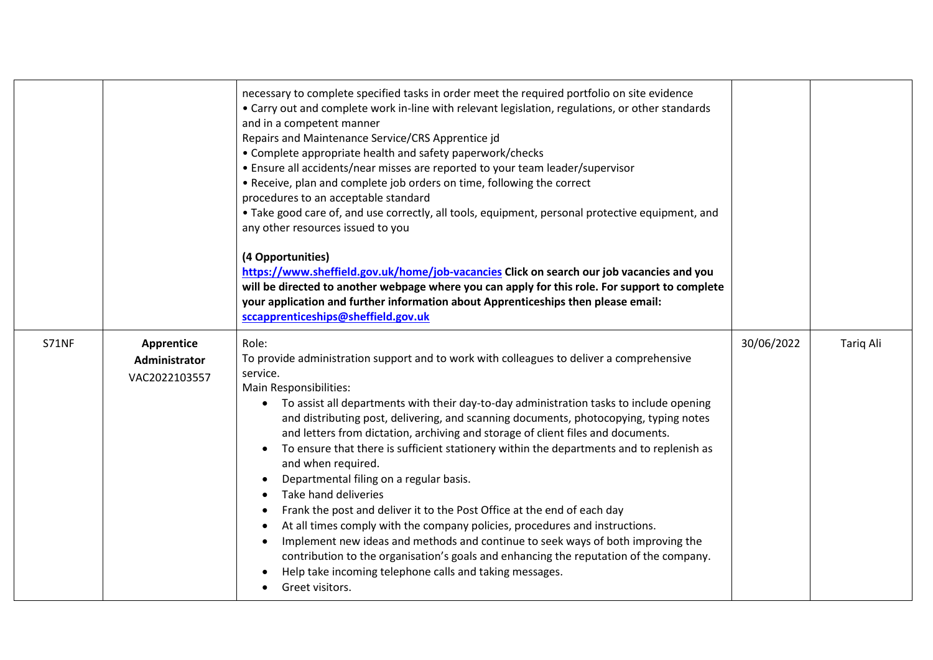|              |                                              | necessary to complete specified tasks in order meet the required portfolio on site evidence<br>• Carry out and complete work in-line with relevant legislation, regulations, or other standards<br>and in a competent manner<br>Repairs and Maintenance Service/CRS Apprentice jd<br>• Complete appropriate health and safety paperwork/checks<br>• Ensure all accidents/near misses are reported to your team leader/supervisor<br>• Receive, plan and complete job orders on time, following the correct<br>procedures to an acceptable standard<br>• Take good care of, and use correctly, all tools, equipment, personal protective equipment, and<br>any other resources issued to you<br>(4 Opportunities)<br>https://www.sheffield.gov.uk/home/job-vacancies Click on search our job vacancies and you<br>will be directed to another webpage where you can apply for this role. For support to complete<br>your application and further information about Apprenticeships then please email:<br>sccapprenticeships@sheffield.gov.uk        |            |           |
|--------------|----------------------------------------------|----------------------------------------------------------------------------------------------------------------------------------------------------------------------------------------------------------------------------------------------------------------------------------------------------------------------------------------------------------------------------------------------------------------------------------------------------------------------------------------------------------------------------------------------------------------------------------------------------------------------------------------------------------------------------------------------------------------------------------------------------------------------------------------------------------------------------------------------------------------------------------------------------------------------------------------------------------------------------------------------------------------------------------------------------|------------|-----------|
| <b>S71NF</b> | Apprentice<br>Administrator<br>VAC2022103557 | Role:<br>To provide administration support and to work with colleagues to deliver a comprehensive<br>service.<br>Main Responsibilities:<br>To assist all departments with their day-to-day administration tasks to include opening<br>$\bullet$<br>and distributing post, delivering, and scanning documents, photocopying, typing notes<br>and letters from dictation, archiving and storage of client files and documents.<br>To ensure that there is sufficient stationery within the departments and to replenish as<br>$\bullet$<br>and when required.<br>Departmental filing on a regular basis.<br>Take hand deliveries<br>Frank the post and deliver it to the Post Office at the end of each day<br>At all times comply with the company policies, procedures and instructions.<br>Implement new ideas and methods and continue to seek ways of both improving the<br>contribution to the organisation's goals and enhancing the reputation of the company.<br>Help take incoming telephone calls and taking messages.<br>Greet visitors. | 30/06/2022 | Tariq Ali |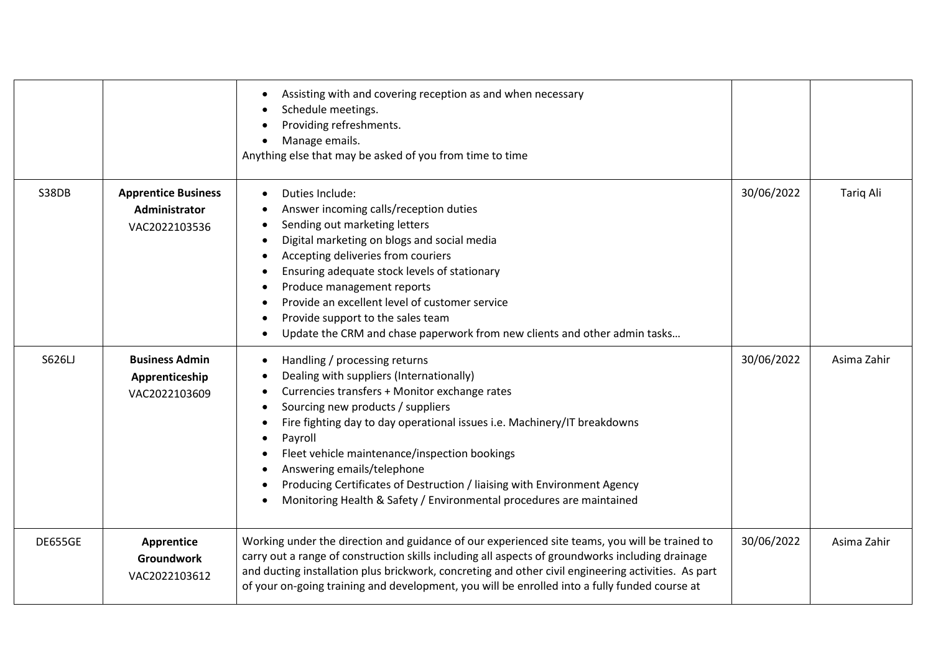|         |                                                              | Assisting with and covering reception as and when necessary<br>Schedule meetings.<br>Providing refreshments.<br>Manage emails.<br>$\bullet$<br>Anything else that may be asked of you from time to time                                                                                                                                                                                                                                                                                   |            |             |
|---------|--------------------------------------------------------------|-------------------------------------------------------------------------------------------------------------------------------------------------------------------------------------------------------------------------------------------------------------------------------------------------------------------------------------------------------------------------------------------------------------------------------------------------------------------------------------------|------------|-------------|
| S38DB   | <b>Apprentice Business</b><br>Administrator<br>VAC2022103536 | Duties Include:<br>Answer incoming calls/reception duties<br>Sending out marketing letters<br>Digital marketing on blogs and social media<br>Accepting deliveries from couriers<br>Ensuring adequate stock levels of stationary<br>Produce management reports<br>Provide an excellent level of customer service<br>Provide support to the sales team<br>Update the CRM and chase paperwork from new clients and other admin tasks                                                         | 30/06/2022 | Tariq Ali   |
| S626LJ  | <b>Business Admin</b><br>Apprenticeship<br>VAC2022103609     | Handling / processing returns<br>Dealing with suppliers (Internationally)<br>Currencies transfers + Monitor exchange rates<br>Sourcing new products / suppliers<br>Fire fighting day to day operational issues i.e. Machinery/IT breakdowns<br>Payroll<br>Fleet vehicle maintenance/inspection bookings<br>Answering emails/telephone<br>Producing Certificates of Destruction / liaising with Environment Agency<br>Monitoring Health & Safety / Environmental procedures are maintained | 30/06/2022 | Asima Zahir |
| DE655GE | Apprentice<br><b>Groundwork</b><br>VAC2022103612             | Working under the direction and guidance of our experienced site teams, you will be trained to<br>carry out a range of construction skills including all aspects of groundworks including drainage<br>and ducting installation plus brickwork, concreting and other civil engineering activities. As part<br>of your on-going training and development, you will be enrolled into a fully funded course at                                                                                | 30/06/2022 | Asima Zahir |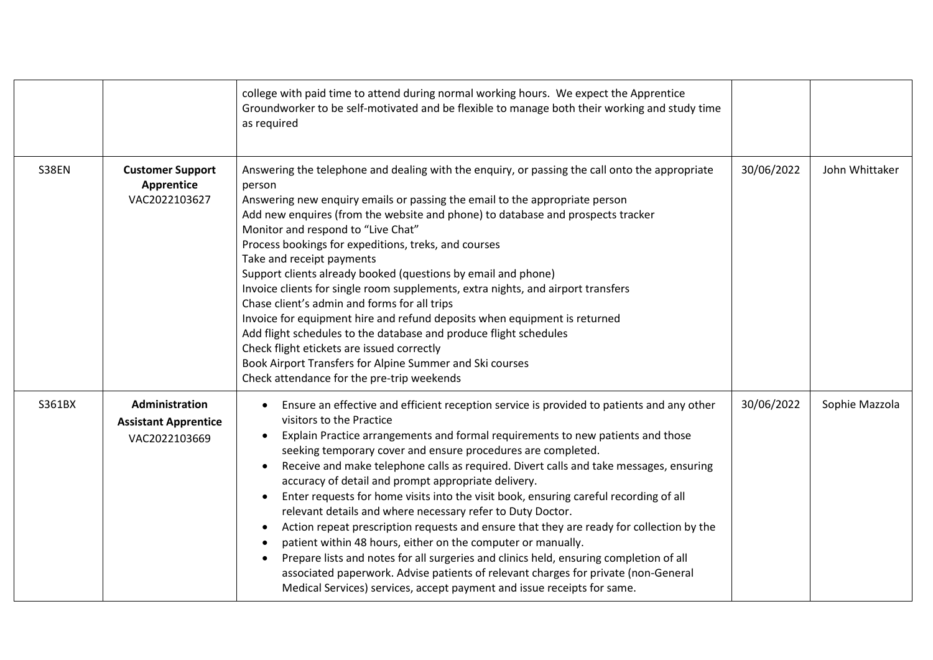|              |                                                                | college with paid time to attend during normal working hours. We expect the Apprentice<br>Groundworker to be self-motivated and be flexible to manage both their working and study time<br>as required                                                                                                                                                                                                                                                                                                                                                                                                                                                                                                                                                                                                                                                                                                                                                                                                                                                      |            |                |
|--------------|----------------------------------------------------------------|-------------------------------------------------------------------------------------------------------------------------------------------------------------------------------------------------------------------------------------------------------------------------------------------------------------------------------------------------------------------------------------------------------------------------------------------------------------------------------------------------------------------------------------------------------------------------------------------------------------------------------------------------------------------------------------------------------------------------------------------------------------------------------------------------------------------------------------------------------------------------------------------------------------------------------------------------------------------------------------------------------------------------------------------------------------|------------|----------------|
| <b>S38EN</b> | <b>Customer Support</b><br><b>Apprentice</b><br>VAC2022103627  | Answering the telephone and dealing with the enquiry, or passing the call onto the appropriate<br>person<br>Answering new enquiry emails or passing the email to the appropriate person<br>Add new enquires (from the website and phone) to database and prospects tracker<br>Monitor and respond to "Live Chat"<br>Process bookings for expeditions, treks, and courses<br>Take and receipt payments<br>Support clients already booked (questions by email and phone)<br>Invoice clients for single room supplements, extra nights, and airport transfers<br>Chase client's admin and forms for all trips<br>Invoice for equipment hire and refund deposits when equipment is returned<br>Add flight schedules to the database and produce flight schedules<br>Check flight etickets are issued correctly<br>Book Airport Transfers for Alpine Summer and Ski courses<br>Check attendance for the pre-trip weekends                                                                                                                                        | 30/06/2022 | John Whittaker |
| S361BX       | Administration<br><b>Assistant Apprentice</b><br>VAC2022103669 | Ensure an effective and efficient reception service is provided to patients and any other<br>visitors to the Practice<br>Explain Practice arrangements and formal requirements to new patients and those<br>$\bullet$<br>seeking temporary cover and ensure procedures are completed.<br>Receive and make telephone calls as required. Divert calls and take messages, ensuring<br>$\bullet$<br>accuracy of detail and prompt appropriate delivery.<br>Enter requests for home visits into the visit book, ensuring careful recording of all<br>$\bullet$<br>relevant details and where necessary refer to Duty Doctor.<br>Action repeat prescription requests and ensure that they are ready for collection by the<br>$\bullet$<br>patient within 48 hours, either on the computer or manually.<br>Prepare lists and notes for all surgeries and clinics held, ensuring completion of all<br>associated paperwork. Advise patients of relevant charges for private (non-General<br>Medical Services) services, accept payment and issue receipts for same. | 30/06/2022 | Sophie Mazzola |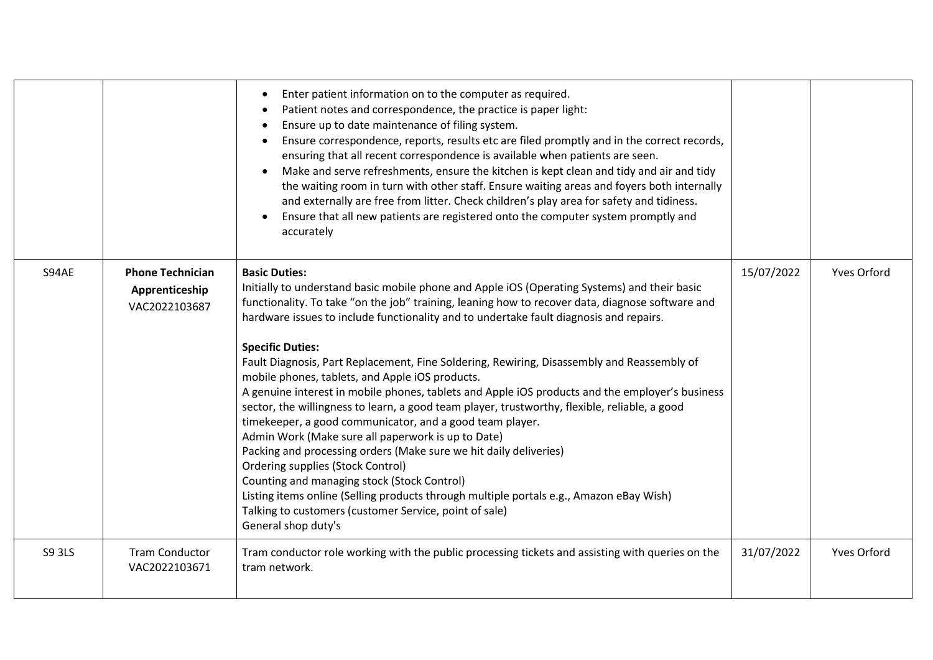|               |                                                            | Enter patient information on to the computer as required.<br>$\bullet$<br>Patient notes and correspondence, the practice is paper light:<br>Ensure up to date maintenance of filing system.<br>Ensure correspondence, reports, results etc are filed promptly and in the correct records,<br>ensuring that all recent correspondence is available when patients are seen.<br>Make and serve refreshments, ensure the kitchen is kept clean and tidy and air and tidy<br>the waiting room in turn with other staff. Ensure waiting areas and foyers both internally<br>and externally are free from litter. Check children's play area for safety and tidiness.<br>Ensure that all new patients are registered onto the computer system promptly and<br>$\bullet$<br>accurately                                                                                                                                                                                                                                                                                                                                                                                   |            |                    |
|---------------|------------------------------------------------------------|------------------------------------------------------------------------------------------------------------------------------------------------------------------------------------------------------------------------------------------------------------------------------------------------------------------------------------------------------------------------------------------------------------------------------------------------------------------------------------------------------------------------------------------------------------------------------------------------------------------------------------------------------------------------------------------------------------------------------------------------------------------------------------------------------------------------------------------------------------------------------------------------------------------------------------------------------------------------------------------------------------------------------------------------------------------------------------------------------------------------------------------------------------------|------------|--------------------|
| S94AE         | <b>Phone Technician</b><br>Apprenticeship<br>VAC2022103687 | <b>Basic Duties:</b><br>Initially to understand basic mobile phone and Apple iOS (Operating Systems) and their basic<br>functionality. To take "on the job" training, leaning how to recover data, diagnose software and<br>hardware issues to include functionality and to undertake fault diagnosis and repairs.<br><b>Specific Duties:</b><br>Fault Diagnosis, Part Replacement, Fine Soldering, Rewiring, Disassembly and Reassembly of<br>mobile phones, tablets, and Apple iOS products.<br>A genuine interest in mobile phones, tablets and Apple iOS products and the employer's business<br>sector, the willingness to learn, a good team player, trustworthy, flexible, reliable, a good<br>timekeeper, a good communicator, and a good team player.<br>Admin Work (Make sure all paperwork is up to Date)<br>Packing and processing orders (Make sure we hit daily deliveries)<br><b>Ordering supplies (Stock Control)</b><br>Counting and managing stock (Stock Control)<br>Listing items online (Selling products through multiple portals e.g., Amazon eBay Wish)<br>Talking to customers (customer Service, point of sale)<br>General shop duty's | 15/07/2022 | <b>Yves Orford</b> |
| <b>S9 3LS</b> | <b>Tram Conductor</b><br>VAC2022103671                     | Tram conductor role working with the public processing tickets and assisting with queries on the<br>tram network.                                                                                                                                                                                                                                                                                                                                                                                                                                                                                                                                                                                                                                                                                                                                                                                                                                                                                                                                                                                                                                                | 31/07/2022 | <b>Yves Orford</b> |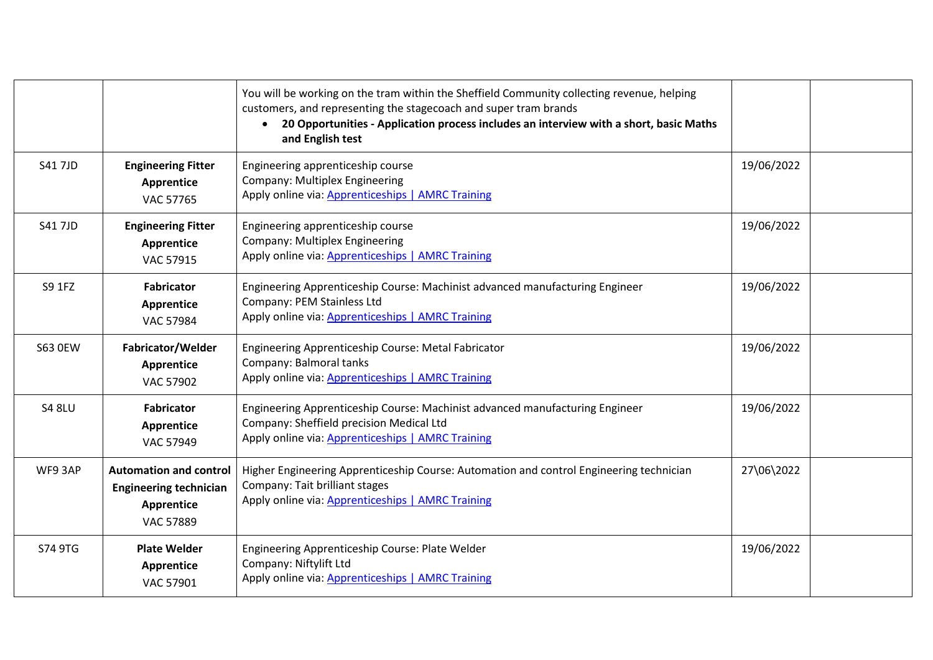|                |                                                                                                  | You will be working on the tram within the Sheffield Community collecting revenue, helping<br>customers, and representing the stagecoach and super tram brands<br>20 Opportunities - Application process includes an interview with a short, basic Maths<br>$\bullet$<br>and English test |            |  |
|----------------|--------------------------------------------------------------------------------------------------|-------------------------------------------------------------------------------------------------------------------------------------------------------------------------------------------------------------------------------------------------------------------------------------------|------------|--|
| <b>S417JD</b>  | <b>Engineering Fitter</b><br><b>Apprentice</b><br><b>VAC 57765</b>                               | Engineering apprenticeship course<br><b>Company: Multiplex Engineering</b><br>Apply online via: Apprenticeships   AMRC Training                                                                                                                                                           | 19/06/2022 |  |
| <b>S41 7JD</b> | <b>Engineering Fitter</b><br>Apprentice<br>VAC 57915                                             | Engineering apprenticeship course<br><b>Company: Multiplex Engineering</b><br>Apply online via: Apprenticeships   AMRC Training                                                                                                                                                           | 19/06/2022 |  |
| S9 1FZ         | <b>Fabricator</b><br>Apprentice<br><b>VAC 57984</b>                                              | Engineering Apprenticeship Course: Machinist advanced manufacturing Engineer<br>Company: PEM Stainless Ltd<br>Apply online via: Apprenticeships   AMRC Training                                                                                                                           | 19/06/2022 |  |
| <b>S63 OEW</b> | Fabricator/Welder<br><b>Apprentice</b><br>VAC 57902                                              | Engineering Apprenticeship Course: Metal Fabricator<br>Company: Balmoral tanks<br>Apply online via: Apprenticeships   AMRC Training                                                                                                                                                       | 19/06/2022 |  |
| <b>S4 8LU</b>  | <b>Fabricator</b><br>Apprentice<br>VAC 57949                                                     | Engineering Apprenticeship Course: Machinist advanced manufacturing Engineer<br>Company: Sheffield precision Medical Ltd<br>Apply online via: Apprenticeships   AMRC Training                                                                                                             | 19/06/2022 |  |
| WF93AP         | <b>Automation and control</b><br><b>Engineering technician</b><br>Apprentice<br><b>VAC 57889</b> | Higher Engineering Apprenticeship Course: Automation and control Engineering technician<br>Company: Tait brilliant stages<br>Apply online via: Apprenticeships   AMRC Training                                                                                                            | 27\06\2022 |  |
| S74 9TG        | <b>Plate Welder</b><br>Apprentice<br>VAC 57901                                                   | Engineering Apprenticeship Course: Plate Welder<br>Company: Niftylift Ltd<br>Apply online via: Apprenticeships   AMRC Training                                                                                                                                                            | 19/06/2022 |  |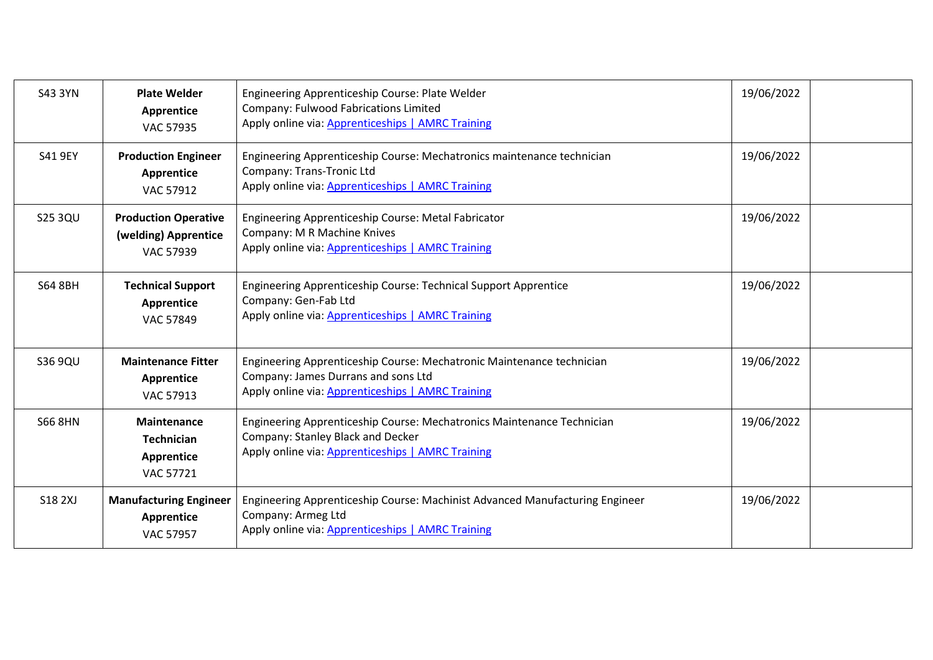| <b>S43 3YN</b> | <b>Plate Welder</b><br>Apprentice<br><b>VAC 57935</b>            | Engineering Apprenticeship Course: Plate Welder<br>Company: Fulwood Fabrications Limited<br>Apply online via: Apprenticeships   AMRC Training                     | 19/06/2022 |  |
|----------------|------------------------------------------------------------------|-------------------------------------------------------------------------------------------------------------------------------------------------------------------|------------|--|
| S41 9EY        | <b>Production Engineer</b><br>Apprentice<br>VAC 57912            | Engineering Apprenticeship Course: Mechatronics maintenance technician<br>Company: Trans-Tronic Ltd<br>Apply online via: Apprenticeships   AMRC Training          | 19/06/2022 |  |
| <b>S25 3QU</b> | <b>Production Operative</b><br>(welding) Apprentice<br>VAC 57939 | Engineering Apprenticeship Course: Metal Fabricator<br>Company: M R Machine Knives<br>Apply online via: Apprenticeships   AMRC Training                           | 19/06/2022 |  |
| <b>S64 8BH</b> | <b>Technical Support</b><br>Apprentice<br>VAC 57849              | <b>Engineering Apprenticeship Course: Technical Support Apprentice</b><br>Company: Gen-Fab Ltd<br>Apply online via: Apprenticeships   AMRC Training               | 19/06/2022 |  |
| S36 9QU        | <b>Maintenance Fitter</b><br>Apprentice<br>VAC 57913             | Engineering Apprenticeship Course: Mechatronic Maintenance technician<br>Company: James Durrans and sons Ltd<br>Apply online via: Apprenticeships   AMRC Training | 19/06/2022 |  |
| <b>S66 8HN</b> | Maintenance<br><b>Technician</b><br>Apprentice<br>VAC 57721      | Engineering Apprenticeship Course: Mechatronics Maintenance Technician<br>Company: Stanley Black and Decker<br>Apply online via: Apprenticeships   AMRC Training  | 19/06/2022 |  |
| <b>S18 2XJ</b> | <b>Manufacturing Engineer</b><br>Apprentice<br><b>VAC 57957</b>  | Engineering Apprenticeship Course: Machinist Advanced Manufacturing Engineer<br>Company: Armeg Ltd<br>Apply online via: Apprenticeships   AMRC Training           | 19/06/2022 |  |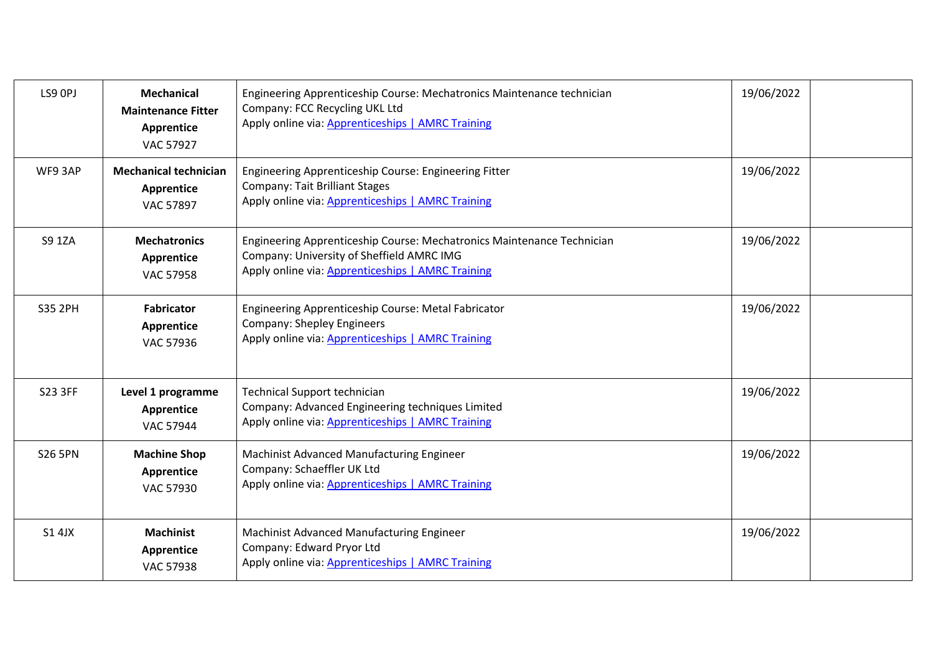| LS9 OPJ        | <b>Mechanical</b><br><b>Maintenance Fitter</b><br>Apprentice<br><b>VAC 57927</b> | Engineering Apprenticeship Course: Mechatronics Maintenance technician<br>Company: FCC Recycling UKL Ltd<br>Apply online via: Apprenticeships   AMRC Training            | 19/06/2022 |  |
|----------------|----------------------------------------------------------------------------------|--------------------------------------------------------------------------------------------------------------------------------------------------------------------------|------------|--|
| WF9 3AP        | <b>Mechanical technician</b><br><b>Apprentice</b><br><b>VAC 57897</b>            | Engineering Apprenticeship Course: Engineering Fitter<br><b>Company: Tait Brilliant Stages</b><br>Apply online via: Apprenticeships   AMRC Training                      | 19/06/2022 |  |
| <b>S9 1ZA</b>  | <b>Mechatronics</b><br>Apprentice<br><b>VAC 57958</b>                            | Engineering Apprenticeship Course: Mechatronics Maintenance Technician<br>Company: University of Sheffield AMRC IMG<br>Apply online via: Apprenticeships   AMRC Training | 19/06/2022 |  |
| <b>S35 2PH</b> | <b>Fabricator</b><br>Apprentice<br>VAC 57936                                     | Engineering Apprenticeship Course: Metal Fabricator<br><b>Company: Shepley Engineers</b><br>Apply online via: Apprenticeships   AMRC Training                            | 19/06/2022 |  |
| <b>S23 3FF</b> | Level 1 programme<br>Apprentice<br><b>VAC 57944</b>                              | Technical Support technician<br>Company: Advanced Engineering techniques Limited<br>Apply online via: Apprenticeships   AMRC Training                                    | 19/06/2022 |  |
| <b>S26 5PN</b> | <b>Machine Shop</b><br>Apprentice<br>VAC 57930                                   | Machinist Advanced Manufacturing Engineer<br>Company: Schaeffler UK Ltd<br>Apply online via: Apprenticeships   AMRC Training                                             | 19/06/2022 |  |
| S1 4JX         | <b>Machinist</b><br>Apprentice<br><b>VAC 57938</b>                               | Machinist Advanced Manufacturing Engineer<br>Company: Edward Pryor Ltd<br>Apply online via: Apprenticeships   AMRC Training                                              | 19/06/2022 |  |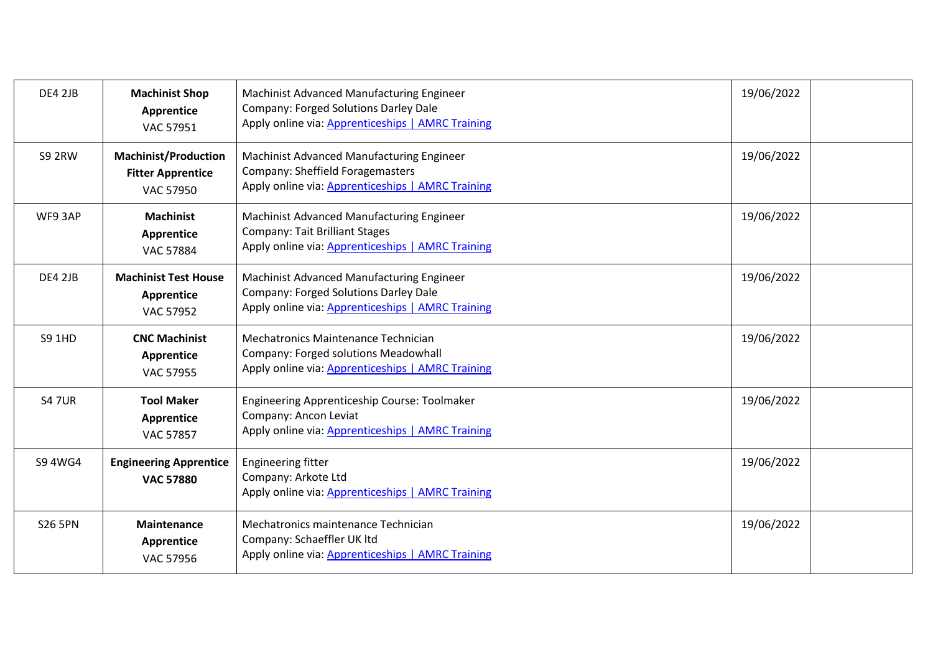| <b>DE4 2JB</b> | <b>Machinist Shop</b><br>Apprentice<br>VAC 57951                            | Machinist Advanced Manufacturing Engineer<br>Company: Forged Solutions Darley Dale<br>Apply online via: Apprenticeships   AMRC Training | 19/06/2022 |  |
|----------------|-----------------------------------------------------------------------------|-----------------------------------------------------------------------------------------------------------------------------------------|------------|--|
| <b>S9 2RW</b>  | <b>Machinist/Production</b><br><b>Fitter Apprentice</b><br><b>VAC 57950</b> | Machinist Advanced Manufacturing Engineer<br>Company: Sheffield Foragemasters<br>Apply online via: Apprenticeships   AMRC Training      | 19/06/2022 |  |
| WF93AP         | <b>Machinist</b><br>Apprentice<br><b>VAC 57884</b>                          | Machinist Advanced Manufacturing Engineer<br><b>Company: Tait Brilliant Stages</b><br>Apply online via: Apprenticeships   AMRC Training | 19/06/2022 |  |
| <b>DE4 2JB</b> | <b>Machinist Test House</b><br>Apprentice<br><b>VAC 57952</b>               | Machinist Advanced Manufacturing Engineer<br>Company: Forged Solutions Darley Dale<br>Apply online via: Apprenticeships   AMRC Training | 19/06/2022 |  |
| <b>S9 1HD</b>  | <b>CNC Machinist</b><br>Apprentice<br><b>VAC 57955</b>                      | Mechatronics Maintenance Technician<br>Company: Forged solutions Meadowhall<br>Apply online via: Apprenticeships   AMRC Training        | 19/06/2022 |  |
| <b>S47UR</b>   | <b>Tool Maker</b><br>Apprentice<br><b>VAC 57857</b>                         | <b>Engineering Apprenticeship Course: Toolmaker</b><br>Company: Ancon Leviat<br>Apply online via: Apprenticeships   AMRC Training       | 19/06/2022 |  |
| S9 4WG4        | <b>Engineering Apprentice</b><br><b>VAC 57880</b>                           | <b>Engineering fitter</b><br>Company: Arkote Ltd<br>Apply online via: Apprenticeships   AMRC Training                                   | 19/06/2022 |  |
| <b>S26 5PN</b> | <b>Maintenance</b><br>Apprentice<br>VAC 57956                               | Mechatronics maintenance Technician<br>Company: Schaeffler UK ltd<br>Apply online via: Apprenticeships   AMRC Training                  | 19/06/2022 |  |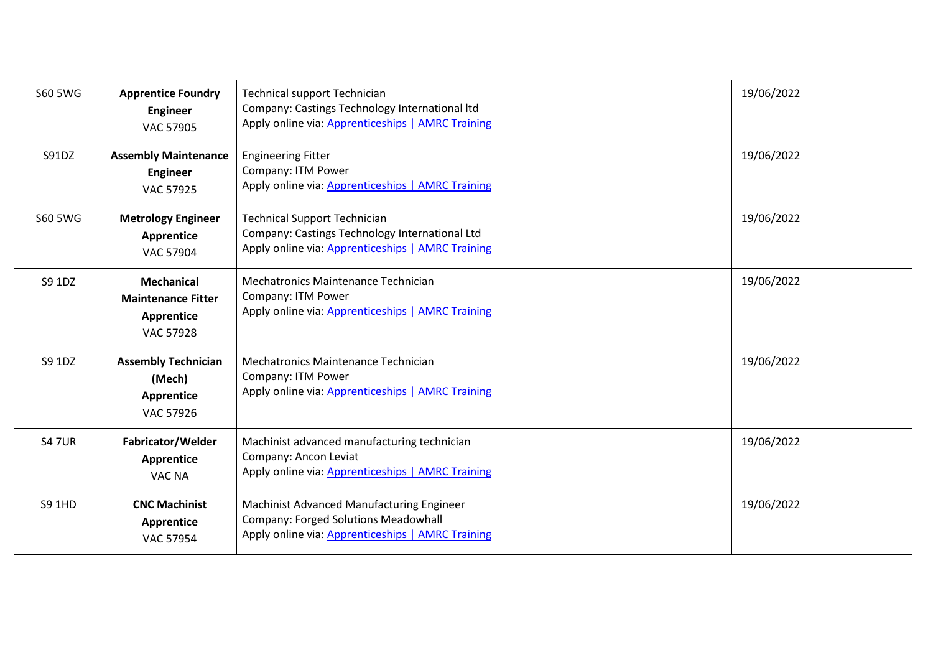| S60 5 WG       | <b>Apprentice Foundry</b><br><b>Engineer</b><br><b>VAC 57905</b>                 | <b>Technical support Technician</b><br>Company: Castings Technology International Itd<br>Apply online via: Apprenticeships   AMRC Training | 19/06/2022 |  |
|----------------|----------------------------------------------------------------------------------|--------------------------------------------------------------------------------------------------------------------------------------------|------------|--|
| S91DZ          | <b>Assembly Maintenance</b><br><b>Engineer</b><br><b>VAC 57925</b>               | <b>Engineering Fitter</b><br>Company: ITM Power<br>Apply online via: Apprenticeships   AMRC Training                                       | 19/06/2022 |  |
| <b>S60 5WG</b> | <b>Metrology Engineer</b><br>Apprentice<br><b>VAC 57904</b>                      | <b>Technical Support Technician</b><br>Company: Castings Technology International Ltd<br>Apply online via: Apprenticeships   AMRC Training | 19/06/2022 |  |
| S9 1DZ         | <b>Mechanical</b><br><b>Maintenance Fitter</b><br>Apprentice<br><b>VAC 57928</b> | Mechatronics Maintenance Technician<br>Company: ITM Power<br>Apply online via: Apprenticeships   AMRC Training                             | 19/06/2022 |  |
| S9 1DZ         | <b>Assembly Technician</b><br>(Mech)<br>Apprentice<br>VAC 57926                  | Mechatronics Maintenance Technician<br>Company: ITM Power<br>Apply online via: Apprenticeships   AMRC Training                             | 19/06/2022 |  |
| <b>S47UR</b>   | Fabricator/Welder<br>Apprentice<br><b>VAC NA</b>                                 | Machinist advanced manufacturing technician<br>Company: Ancon Leviat<br>Apply online via: Apprenticeships   AMRC Training                  | 19/06/2022 |  |
| <b>S9 1HD</b>  | <b>CNC Machinist</b><br>Apprentice<br><b>VAC 57954</b>                           | Machinist Advanced Manufacturing Engineer<br>Company: Forged Solutions Meadowhall<br>Apply online via: Apprenticeships   AMRC Training     | 19/06/2022 |  |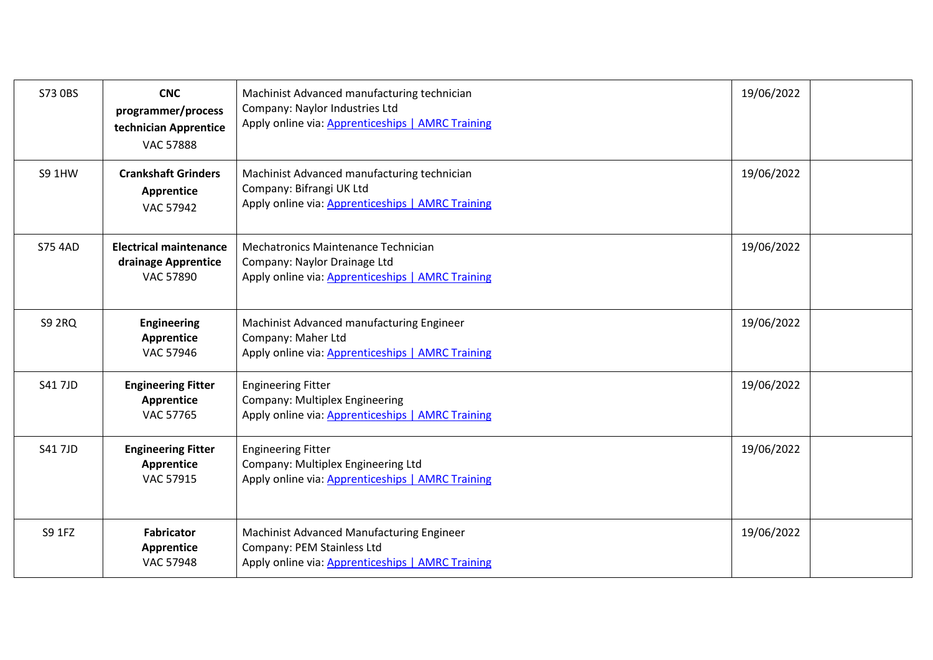| S73 0BS        | <b>CNC</b><br>programmer/process<br>technician Apprentice<br><b>VAC 57888</b> | Machinist Advanced manufacturing technician<br>Company: Naylor Industries Ltd<br>Apply online via: Apprenticeships   AMRC Training | 19/06/2022 |  |
|----------------|-------------------------------------------------------------------------------|------------------------------------------------------------------------------------------------------------------------------------|------------|--|
| <b>S9 1HW</b>  | <b>Crankshaft Grinders</b><br>Apprentice<br>VAC 57942                         | Machinist Advanced manufacturing technician<br>Company: Bifrangi UK Ltd<br>Apply online via: Apprenticeships   AMRC Training       | 19/06/2022 |  |
| <b>S75 4AD</b> | <b>Electrical maintenance</b><br>drainage Apprentice<br><b>VAC 57890</b>      | Mechatronics Maintenance Technician<br>Company: Naylor Drainage Ltd<br>Apply online via: Apprenticeships   AMRC Training           | 19/06/2022 |  |
| <b>S9 2RQ</b>  | <b>Engineering</b><br>Apprentice<br>VAC 57946                                 | Machinist Advanced manufacturing Engineer<br>Company: Maher Ltd<br>Apply online via: Apprenticeships   AMRC Training               | 19/06/2022 |  |
| <b>S41 7JD</b> | <b>Engineering Fitter</b><br><b>Apprentice</b><br>VAC 57765                   | <b>Engineering Fitter</b><br><b>Company: Multiplex Engineering</b><br>Apply online via: Apprenticeships   AMRC Training            | 19/06/2022 |  |
| <b>S41 7JD</b> | <b>Engineering Fitter</b><br>Apprentice<br>VAC 57915                          | <b>Engineering Fitter</b><br>Company: Multiplex Engineering Ltd<br>Apply online via: Apprenticeships   AMRC Training               | 19/06/2022 |  |
| S9 1FZ         | <b>Fabricator</b><br>Apprentice<br><b>VAC 57948</b>                           | Machinist Advanced Manufacturing Engineer<br>Company: PEM Stainless Ltd<br>Apply online via: Apprenticeships   AMRC Training       | 19/06/2022 |  |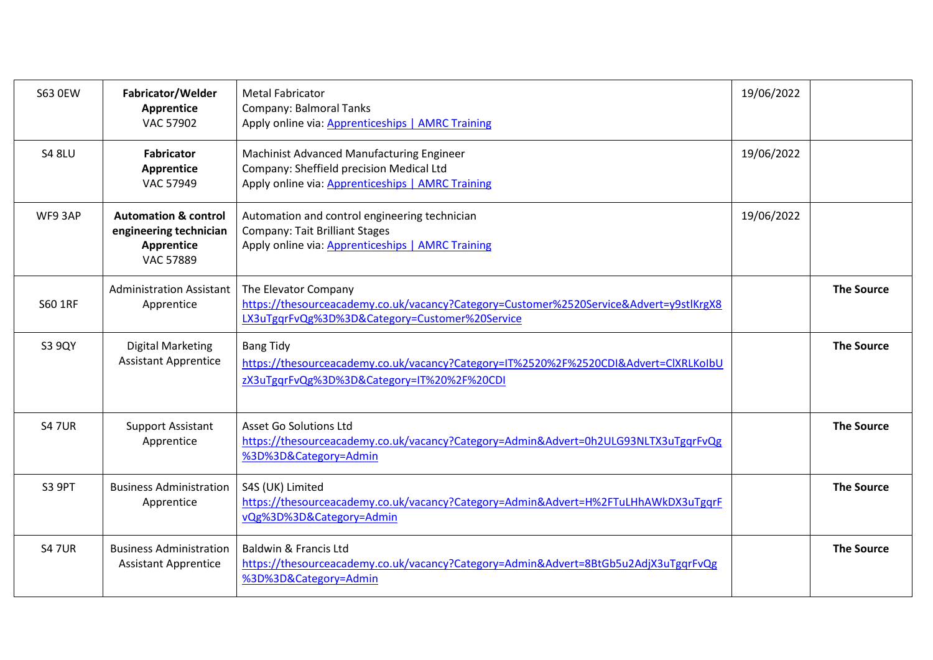| <b>S63 OEW</b> | Fabricator/Welder<br>Apprentice<br><b>VAC 57902</b>                                         | <b>Metal Fabricator</b><br>Company: Balmoral Tanks<br>Apply online via: Apprenticeships   AMRC Training                                                          | 19/06/2022 |                   |
|----------------|---------------------------------------------------------------------------------------------|------------------------------------------------------------------------------------------------------------------------------------------------------------------|------------|-------------------|
| <b>S4 8LU</b>  | <b>Fabricator</b><br>Apprentice<br>VAC 57949                                                | Machinist Advanced Manufacturing Engineer<br>Company: Sheffield precision Medical Ltd<br>Apply online via: Apprenticeships   AMRC Training                       | 19/06/2022 |                   |
| WF9 3AP        | <b>Automation &amp; control</b><br>engineering technician<br>Apprentice<br><b>VAC 57889</b> | Automation and control engineering technician<br><b>Company: Tait Brilliant Stages</b><br>Apply online via: Apprenticeships   AMRC Training                      | 19/06/2022 |                   |
| S60 1RF        | <b>Administration Assistant</b><br>Apprentice                                               | The Elevator Company<br>https://thesourceacademy.co.uk/vacancy?Category=Customer%2520Service&Advert=y9stlKrgX8<br>LX3uTgqrFvQg%3D%3D&Category=Customer%20Service |            | <b>The Source</b> |
| <b>S3 9QY</b>  | <b>Digital Marketing</b><br><b>Assistant Apprentice</b>                                     | <b>Bang Tidy</b><br>https://thesourceacademy.co.uk/vacancy?Category=IT%2520%2F%2520CDI&Advert=ClXRLKolbU<br>zX3uTgqrFvQg%3D%3D&Category=IT%20%2F%20CDI           |            | <b>The Source</b> |
| <b>S47UR</b>   | <b>Support Assistant</b><br>Apprentice                                                      | Asset Go Solutions Ltd<br>https://thesourceacademy.co.uk/vacancy?Category=Admin&Advert=0h2ULG93NLTX3uTgqrFvQg<br>%3D%3D&Category=Admin                           |            | <b>The Source</b> |
| <b>S3 9PT</b>  | <b>Business Administration</b><br>Apprentice                                                | S4S (UK) Limited<br>https://thesourceacademy.co.uk/vacancy?Category=Admin&Advert=H%2FTuLHhAWkDX3uTggrF<br>vQg%3D%3D&Category=Admin                               |            | <b>The Source</b> |
| <b>S4 7UR</b>  | <b>Business Administration</b><br><b>Assistant Apprentice</b>                               | <b>Baldwin &amp; Francis Ltd</b><br>https://thesourceacademy.co.uk/vacancy?Category=Admin&Advert=8BtGb5u2AdjX3uTgqrFvQg<br>%3D%3D&Category=Admin                 |            | <b>The Source</b> |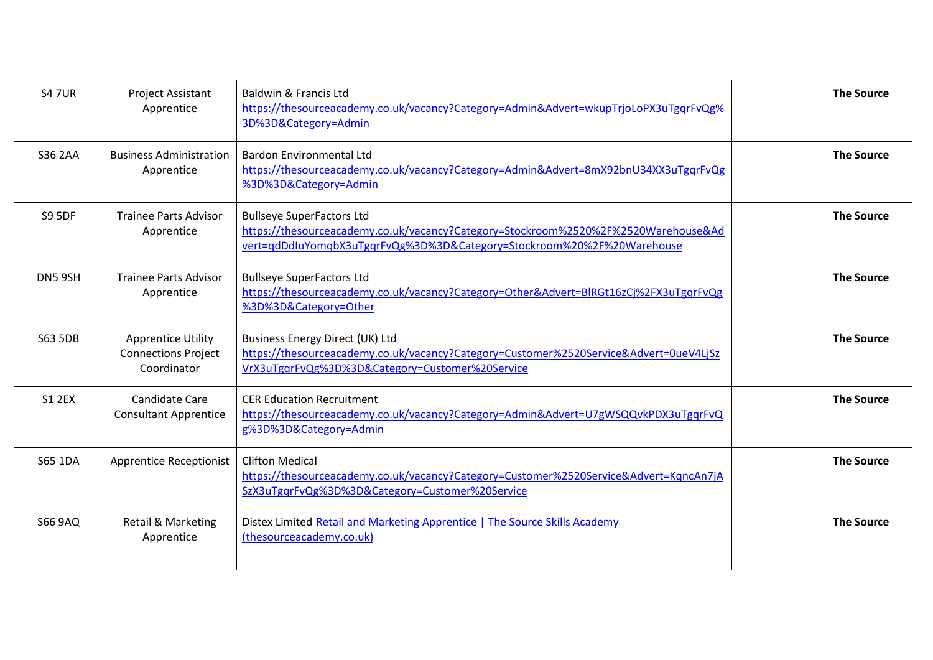| <b>S4 7UR</b>  | Project Assistant<br>Apprentice                                        | Baldwin & Francis Ltd<br>https://thesourceacademy.co.uk/vacancy?Category=Admin&Advert=wkupTrjoLoPX3uTgqrFvQg%<br>3D%3D&Category=Admin                                                            | <b>The Source</b> |
|----------------|------------------------------------------------------------------------|--------------------------------------------------------------------------------------------------------------------------------------------------------------------------------------------------|-------------------|
| <b>S36 2AA</b> | <b>Business Administration</b><br>Apprentice                           | <b>Bardon Environmental Ltd</b><br>https://thesourceacademy.co.uk/vacancy?Category=Admin&Advert=8mX92bnU34XX3uTgqrFvQg<br>%3D%3D&Category=Admin                                                  | <b>The Source</b> |
| <b>S9 5DF</b>  | <b>Trainee Parts Advisor</b><br>Apprentice                             | <b>Bullseye SuperFactors Ltd</b><br>https://thesourceacademy.co.uk/vacancy?Category=Stockroom%2520%2F%2520Warehouse&Ad<br>vert=qdDdIuYomqbX3uTgqrFvQg%3D%3D&Category=Stockroom%20%2F%20Warehouse | <b>The Source</b> |
| DN5 9SH        | <b>Trainee Parts Advisor</b><br>Apprentice                             | <b>Bullseye SuperFactors Ltd</b><br>https://thesourceacademy.co.uk/vacancy?Category=Other&Advert=BlRGt16zCj%2FX3uTgqrFvQg<br>%3D%3D&Category=Other                                               | <b>The Source</b> |
| <b>S63 5DB</b> | <b>Apprentice Utility</b><br><b>Connections Project</b><br>Coordinator | Business Energy Direct (UK) Ltd<br>https://thesourceacademy.co.uk/vacancy?Category=Customer%2520Service&Advert=0ueV4LjSz<br>VrX3uTgqrFvQg%3D%3D&Category=Customer%20Service                      | <b>The Source</b> |
| <b>S1 2EX</b>  | Candidate Care<br><b>Consultant Apprentice</b>                         | <b>CER Education Recruitment</b><br>https://thesourceacademy.co.uk/vacancy?Category=Admin&Advert=U7gWSQQvkPDX3uTgqrFvQ<br>g%3D%3D&Category=Admin                                                 | <b>The Source</b> |
| S65 1DA        | <b>Apprentice Receptionist</b>                                         | <b>Clifton Medical</b><br>https://thesourceacademy.co.uk/vacancy?Category=Customer%2520Service&Advert=KgncAn7jA<br>SzX3uTgqrFvQg%3D%3D&Category=Customer%20Service                               | <b>The Source</b> |
| <b>S66 9AQ</b> | <b>Retail &amp; Marketing</b><br>Apprentice                            | Distex Limited Retail and Marketing Apprentice   The Source Skills Academy<br>(thesourceacademy.co.uk)                                                                                           | <b>The Source</b> |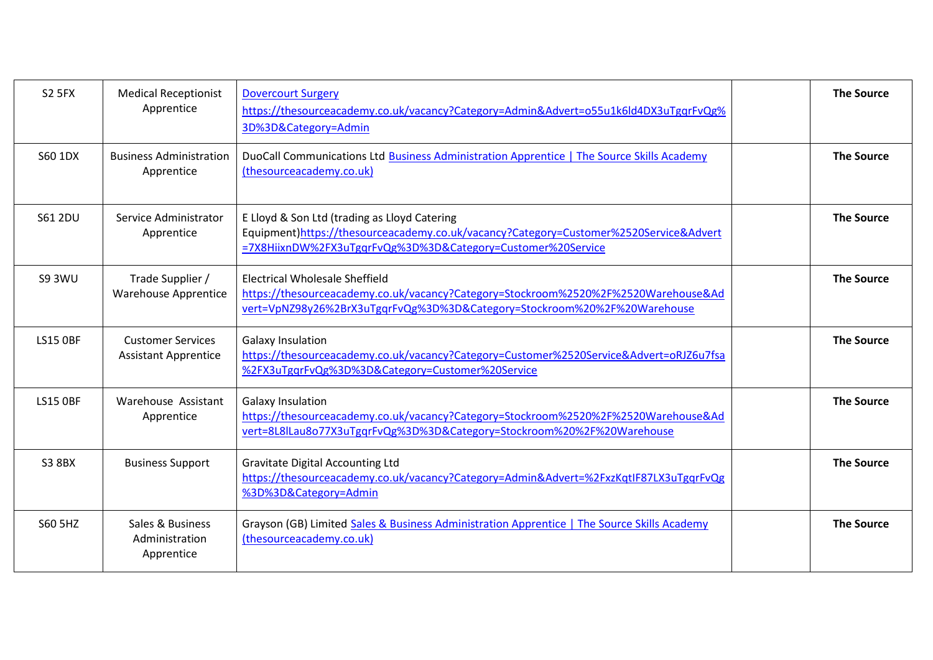| <b>S2 5FX</b>   | <b>Medical Receptionist</b><br>Apprentice               | <b>Dovercourt Surgery</b><br>https://thesourceacademy.co.uk/vacancy?Category=Admin&Advert=055u1k6ld4DX3uTgqrFvQg%<br>3D%3D&Category=Admin                                                               | <b>The Source</b> |
|-----------------|---------------------------------------------------------|---------------------------------------------------------------------------------------------------------------------------------------------------------------------------------------------------------|-------------------|
| S60 1DX         | <b>Business Administration</b><br>Apprentice            | DuoCall Communications Ltd Business Administration Apprentice   The Source Skills Academy<br>(thesourceacademy.co.uk)                                                                                   | <b>The Source</b> |
| S61 2DU         | Service Administrator<br>Apprentice                     | E Lloyd & Son Ltd (trading as Lloyd Catering<br>Equipment)https://thesourceacademy.co.uk/vacancy?Category=Customer%2520Service&Advert<br>=7X8HiixnDW%2FX3uTgqrFvQg%3D%3D&Category=Customer%20Service    | <b>The Source</b> |
| <b>S9 3WU</b>   | Trade Supplier /<br><b>Warehouse Apprentice</b>         | <b>Electrical Wholesale Sheffield</b><br>https://thesourceacademy.co.uk/vacancy?Category=Stockroom%2520%2F%2520Warehouse&Ad<br>vert=VpNZ98y26%2BrX3uTgqrFvQg%3D%3D&Category=Stockroom%20%2F%20Warehouse | <b>The Source</b> |
| <b>LS15 OBF</b> | <b>Customer Services</b><br><b>Assistant Apprentice</b> | Galaxy Insulation<br>https://thesourceacademy.co.uk/vacancy?Category=Customer%2520Service&Advert=oRJZ6u7fsa<br>%2FX3uTgqrFvQg%3D%3D&Category=Customer%20Service                                         | <b>The Source</b> |
| <b>LS15 OBF</b> | Warehouse Assistant<br>Apprentice                       | <b>Galaxy Insulation</b><br>https://thesourceacademy.co.uk/vacancy?Category=Stockroom%2520%2F%2520Warehouse&Ad<br>vert=8L8lLau8o77X3uTgqrFvQg%3D%3D&Category=Stockroom%20%2F%20Warehouse                | <b>The Source</b> |
| <b>S3 8BX</b>   | <b>Business Support</b>                                 | <b>Gravitate Digital Accounting Ltd</b><br>https://thesourceacademy.co.uk/vacancy?Category=Admin&Advert=%2FxzKqtIF87LX3uTgqrFvQg<br>%3D%3D&Category=Admin                                               | <b>The Source</b> |
| S60 5HZ         | Sales & Business<br>Administration<br>Apprentice        | Grayson (GB) Limited Sales & Business Administration Apprentice   The Source Skills Academy<br>(thesourceacademy.co.uk)                                                                                 | <b>The Source</b> |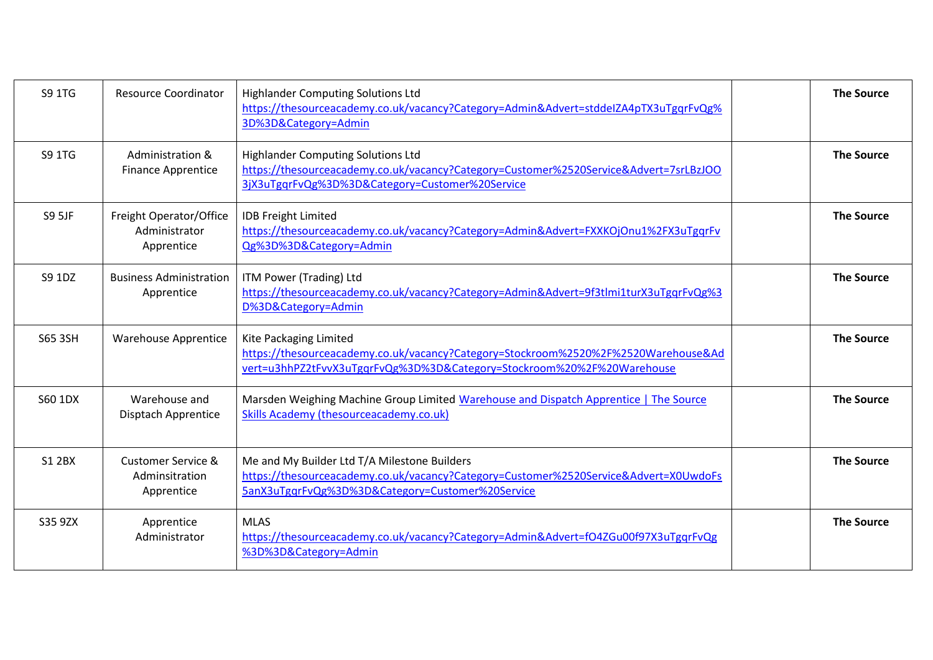| S9 1TG         | <b>Resource Coordinator</b>                                   | <b>Highlander Computing Solutions Ltd</b><br>https://thesourceacademy.co.uk/vacancy?Category=Admin&Advert=stddeIZA4pTX3uTgqrFvQg%<br>3D%3D&Category=Admin                                | <b>The Source</b> |
|----------------|---------------------------------------------------------------|------------------------------------------------------------------------------------------------------------------------------------------------------------------------------------------|-------------------|
| S9 1TG         | Administration &<br><b>Finance Apprentice</b>                 | <b>Highlander Computing Solutions Ltd</b><br>https://thesourceacademy.co.uk/vacancy?Category=Customer%2520Service&Advert=7srLBzJOO<br>3jX3uTgqrFvQg%3D%3D&Category=Customer%20Service    | <b>The Source</b> |
| <b>S9 5JF</b>  | Freight Operator/Office<br>Administrator<br>Apprentice        | <b>IDB Freight Limited</b><br>https://thesourceacademy.co.uk/vacancy?Category=Admin&Advert=FXXKOjOnu1%2FX3uTgqrFv<br>Qg%3D%3D&Category=Admin                                             | <b>The Source</b> |
| S9 1DZ         | <b>Business Administration</b><br>Apprentice                  | ITM Power (Trading) Ltd<br>https://thesourceacademy.co.uk/vacancy?Category=Admin&Advert=9f3tlmi1turX3uTgqrFvQg%3<br>D%3D&Category=Admin                                                  | <b>The Source</b> |
| <b>S65 3SH</b> | <b>Warehouse Apprentice</b>                                   | Kite Packaging Limited<br>https://thesourceacademy.co.uk/vacancy?Category=Stockroom%2520%2F%2520Warehouse&Ad<br>vert=u3hhPZ2tFvvX3uTgqrFvQg%3D%3D&Category=Stockroom%20%2F%20Warehouse   | <b>The Source</b> |
| S60 1DX        | Warehouse and<br>Disptach Apprentice                          | Marsden Weighing Machine Group Limited Warehouse and Dispatch Apprentice   The Source<br>Skills Academy (thesourceacademy.co.uk)                                                         | <b>The Source</b> |
| <b>S1 2BX</b>  | <b>Customer Service &amp;</b><br>Adminsitration<br>Apprentice | Me and My Builder Ltd T/A Milestone Builders<br>https://thesourceacademy.co.uk/vacancy?Category=Customer%2520Service&Advert=X0UwdoFs<br>5anX3uTgqrFvQg%3D%3D&Category=Customer%20Service | <b>The Source</b> |
| S35 9ZX        | Apprentice<br>Administrator                                   | <b>MLAS</b><br>https://thesourceacademy.co.uk/vacancy?Category=Admin&Advert=fO4ZGu00f97X3uTgqrFvQg<br>%3D%3D&Category=Admin                                                              | <b>The Source</b> |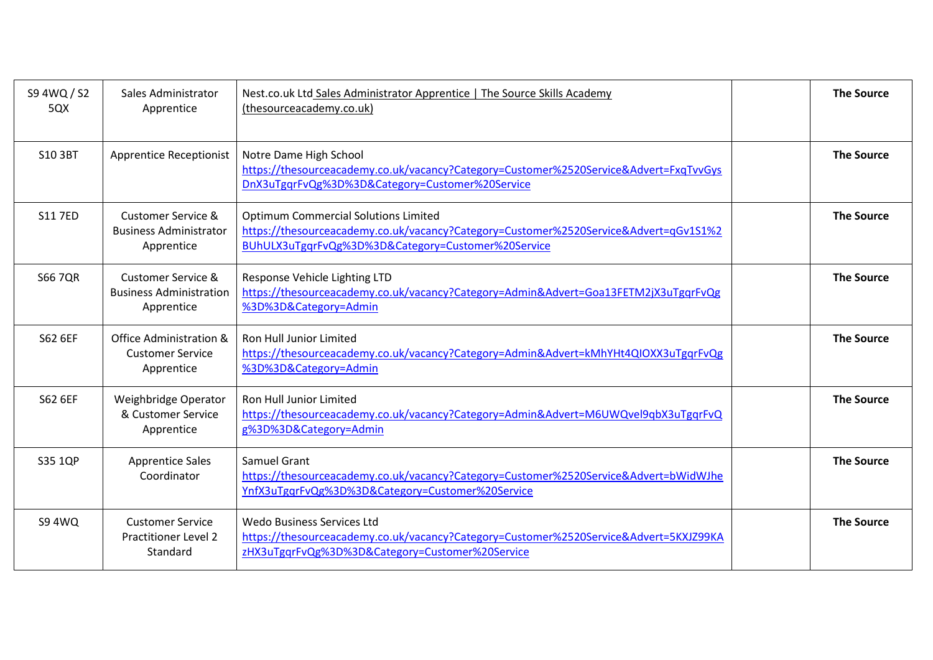| S9 4WQ / S2<br>5QX | Sales Administrator<br>Apprentice                                             | Nest.co.uk Ltd Sales Administrator Apprentice   The Source Skills Academy<br>(thesourceacademy.co.uk)                                                                                     | <b>The Source</b> |
|--------------------|-------------------------------------------------------------------------------|-------------------------------------------------------------------------------------------------------------------------------------------------------------------------------------------|-------------------|
| S10 3BT            | <b>Apprentice Receptionist</b>                                                | Notre Dame High School<br>https://thesourceacademy.co.uk/vacancy?Category=Customer%2520Service&Advert=FxqTvvGys<br>DnX3uTgqrFvQg%3D%3D&Category=Customer%20Service                        | <b>The Source</b> |
| <b>S11 7ED</b>     | <b>Customer Service &amp;</b><br><b>Business Administrator</b><br>Apprentice  | <b>Optimum Commercial Solutions Limited</b><br>https://thesourceacademy.co.uk/vacancy?Category=Customer%2520Service&Advert=qGv1S1%2<br>BUhULX3uTgqrFvQg%3D%3D&Category=Customer%20Service | <b>The Source</b> |
| <b>S66 7QR</b>     | <b>Customer Service &amp;</b><br><b>Business Administration</b><br>Apprentice | Response Vehicle Lighting LTD<br>https://thesourceacademy.co.uk/vacancy?Category=Admin&Advert=Goa13FETM2jX3uTgqrFvQg<br>%3D%3D&Category=Admin                                             | <b>The Source</b> |
| S62 6EF            | Office Administration &<br><b>Customer Service</b><br>Apprentice              | <b>Ron Hull Junior Limited</b><br>https://thesourceacademy.co.uk/vacancy?Category=Admin&Advert=kMhYHt4QIOXX3uTgqrFvQg<br>%3D%3D&Category=Admin                                            | <b>The Source</b> |
| S62 6EF            | Weighbridge Operator<br>& Customer Service<br>Apprentice                      | <b>Ron Hull Junior Limited</b><br>https://thesourceacademy.co.uk/vacancy?Category=Admin&Advert=M6UWQvel9qbX3uTgqrFvQ<br>g%3D%3D&Category=Admin                                            | <b>The Source</b> |
| S35 1QP            | <b>Apprentice Sales</b><br>Coordinator                                        | <b>Samuel Grant</b><br>https://thesourceacademy.co.uk/vacancy?Category=Customer%2520Service&Advert=bWidWJhe<br>YnfX3uTggrFvQg%3D%3D&Category=Customer%20Service                           | <b>The Source</b> |
| <b>S9 4WQ</b>      | <b>Customer Service</b><br><b>Practitioner Level 2</b><br>Standard            | Wedo Business Services Ltd<br>https://thesourceacademy.co.uk/vacancy?Category=Customer%2520Service&Advert=5KXJZ99KA<br>zHX3uTgqrFvQg%3D%3D&Category=Customer%20Service                    | <b>The Source</b> |